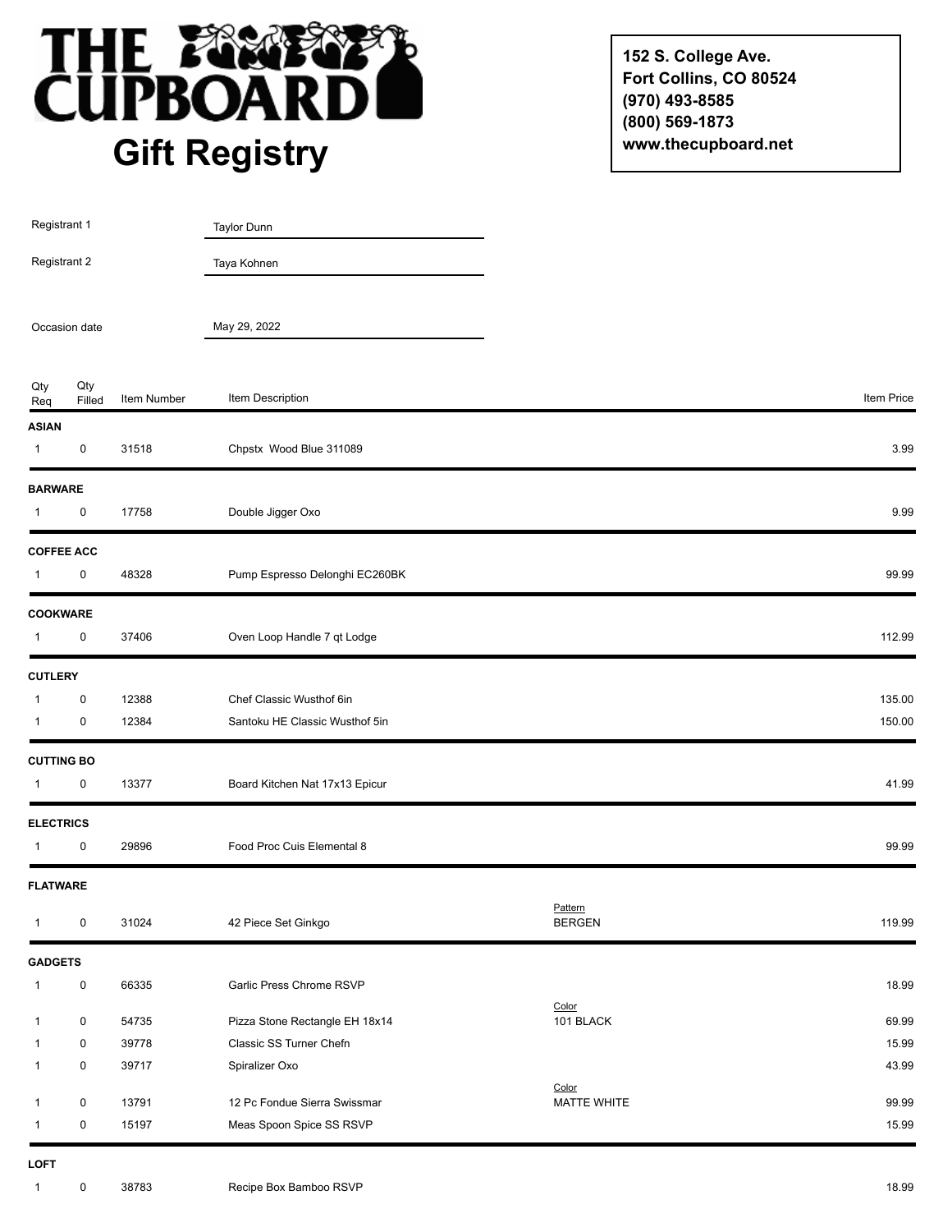

**152 S. College Ave. Fort Collins, CO 80524 (970) 493-8585 (800) 569-1873 www.thecupboard.net**

| Registrant 1<br>Registrant 2 |               |             | Taylor Dunn                    |                          |            |
|------------------------------|---------------|-------------|--------------------------------|--------------------------|------------|
|                              |               |             | Taya Kohnen                    |                          |            |
| Occasion date                |               |             | May 29, 2022                   |                          |            |
| Qty<br>Req                   | Qty<br>Filled | Item Number | Item Description               |                          | Item Price |
| <b>ASIAN</b>                 |               |             |                                |                          |            |
| $\mathbf{1}$                 | $\pmb{0}$     | 31518       | Chpstx Wood Blue 311089        |                          | 3.99       |
| <b>BARWARE</b>               |               |             |                                |                          |            |
| $\mathbf{1}$                 | $\pmb{0}$     | 17758       | Double Jigger Oxo              |                          | 9.99       |
| <b>COFFEE ACC</b>            |               |             |                                |                          |            |
| $\mathbf{1}$                 | 0             | 48328       | Pump Espresso Delonghi EC260BK |                          | 99.99      |
| <b>COOKWARE</b>              |               |             |                                |                          |            |
| $\mathbf{1}$                 | $\pmb{0}$     | 37406       | Oven Loop Handle 7 qt Lodge    |                          | 112.99     |
| <b>CUTLERY</b>               |               |             |                                |                          |            |
| $\overline{1}$               | $\pmb{0}$     | 12388       | Chef Classic Wusthof 6in       |                          | 135.00     |
| $\mathbf{1}$                 | $\pmb{0}$     | 12384       | Santoku HE Classic Wusthof 5in |                          | 150.00     |
| <b>CUTTING BO</b>            |               |             |                                |                          |            |
| $\mathbf{1}$                 | 0             | 13377       | Board Kitchen Nat 17x13 Epicur |                          | 41.99      |
| <b>ELECTRICS</b>             |               |             |                                |                          |            |
| $\mathbf{1}$                 | 0             | 29896       | Food Proc Cuis Elemental 8     |                          | 99.99      |
| <b>FLATWARE</b>              |               |             |                                |                          |            |
| $\mathbf{1}$                 | 0             | 31024       | 42 Piece Set Ginkgo            | Pattern<br><b>BERGEN</b> | 119.99     |
| <b>GADGETS</b>               |               |             |                                |                          |            |
| $\mathbf{1}$                 | $\pmb{0}$     | 66335       | Garlic Press Chrome RSVP       |                          | 18.99      |
| $\mathbf{1}$                 | $\mathbf 0$   | 54735       | Pizza Stone Rectangle EH 18x14 | Color<br>101 BLACK       | 69.99      |
| $\mathbf{1}$                 | $\mathbf 0$   | 39778       | Classic SS Turner Chefn        |                          | 15.99      |
| $\mathbf{1}$                 | $\pmb{0}$     | 39717       | Spiralizer Oxo                 |                          | 43.99      |
| $\mathbf{1}$                 | $\mathsf 0$   | 13791       | 12 Pc Fondue Sierra Swissmar   | Color<br>MATTE WHITE     | 99.99      |
| $\mathbf{1}$                 | $\pmb{0}$     | 15197       | Meas Spoon Spice SS RSVP       |                          | 15.99      |
| LOFT                         |               |             |                                |                          |            |